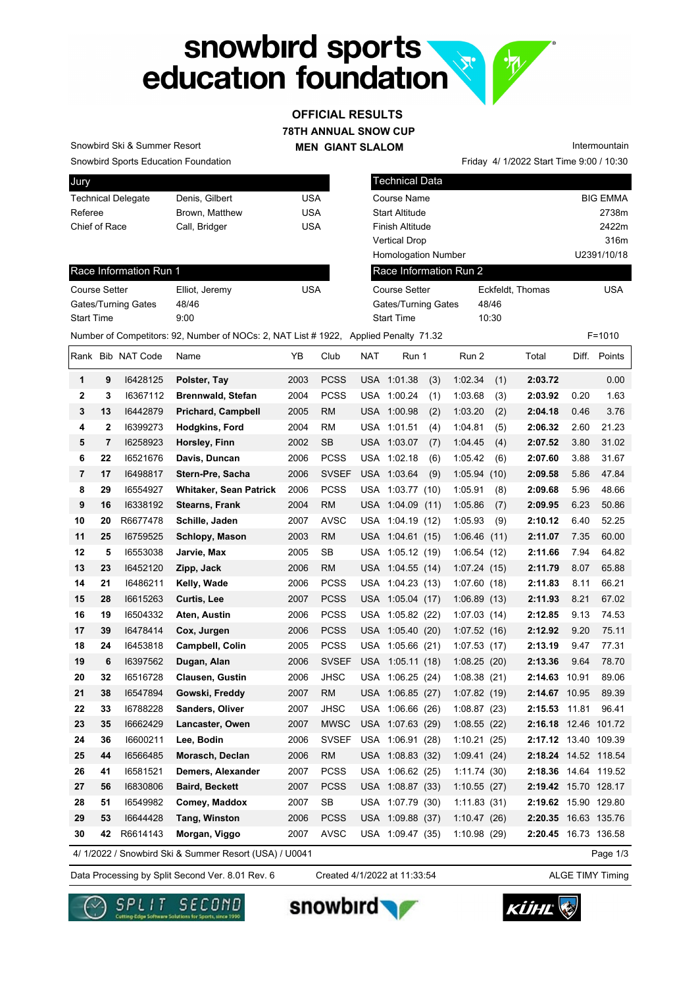# snowbird sports<br>education foundation

## **78TH ANNUAL SNOW CUP MEN GIANT SLALOM OFFICIAL RESULTS**

Snowbird Sports Education Foundation Snowbird Ski & Summer Resort

| Jury                      |                |     |
|---------------------------|----------------|-----|
| <b>Technical Delegate</b> | Denis, Gilbert | USA |
| Referee                   | Brown. Matthew | USA |
| Chief of Race             | Call, Bridger  | USA |
|                           |                |     |

| <b>Technical Data</b>      |                  |                 |
|----------------------------|------------------|-----------------|
| Course Name                |                  | <b>BIG EMMA</b> |
| <b>Start Altitude</b>      |                  | 2738m           |
| <b>Finish Altitude</b>     |                  | 2422m           |
| <b>Vertical Drop</b>       |                  | 316m            |
| <b>Homologation Number</b> |                  | U2391/10/18     |
| Race Information Run 2     |                  |                 |
| Course Setter              | Eckfeldt, Thomas | <b>USA</b>      |
| <b>Gates/Turning Gates</b> | 48/46            |                 |
| <b>Start Time</b>          | 10:30            |                 |

Friday 4/ 1/2022 Start Time 9:00 / 10:30

Intermountain

Race Information Run 1

| <b>Course Setter</b>       | Elliot, Jeremy | USA |
|----------------------------|----------------|-----|
| <b>Gates/Turning Gates</b> | 48/46          |     |
| <b>Start Time</b>          | 9:00           |     |

| Number of Competitors: 92, Number of NOCs: 2, NAT List # 1922, Applied Penalty 71.32<br>$F = 1010$ |    |                   |                                                        |      |              |     |                  |     |             |     |                      |       |              |
|----------------------------------------------------------------------------------------------------|----|-------------------|--------------------------------------------------------|------|--------------|-----|------------------|-----|-------------|-----|----------------------|-------|--------------|
|                                                                                                    |    | Rank Bib NAT Code | Name                                                   | YB   | Club         | NAT | Run 1            |     | Run 2       |     | Total                |       | Diff. Points |
| 1                                                                                                  | 9  | 16428125          | Polster, Tay                                           | 2003 | <b>PCSS</b>  |     | USA 1:01.38      | (3) | 1:02.34     | (1) | 2:03.72              |       | 0.00         |
| $\mathbf{2}$                                                                                       | 3  | 16367112          | <b>Brennwald, Stefan</b>                               | 2004 | <b>PCSS</b>  |     | USA 1:00.24      | (1) | 1:03.68     | (3) | 2:03.92              | 0.20  | 1.63         |
| 3                                                                                                  | 13 | 16442879          | <b>Prichard, Campbell</b>                              | 2005 | <b>RM</b>    |     | USA 1:00.98      | (2) | 1:03.20     | (2) | 2:04.18              | 0.46  | 3.76         |
| 4                                                                                                  | 2  | 16399273          | Hodgkins, Ford                                         | 2004 | <b>RM</b>    |     | USA 1:01.51      | (4) | 1:04.81     | (5) | 2:06.32              | 2.60  | 21.23        |
| $5\phantom{.0}$                                                                                    | 7  | 16258923          | Horsley, Finn                                          | 2002 | <b>SB</b>    |     | USA 1:03.07      | (7) | 1:04.45     | (4) | 2:07.52              | 3.80  | 31.02        |
| 6                                                                                                  | 22 | 16521676          | Davis, Duncan                                          | 2006 | <b>PCSS</b>  |     | USA 1:02.18      | (6) | 1:05.42     | (6) | 2:07.60              | 3.88  | 31.67        |
| 7                                                                                                  | 17 | 16498817          | Stern-Pre, Sacha                                       | 2006 | <b>SVSEF</b> |     | USA 1:03.64      | (9) | 1:05.94(10) |     | 2:09.58              | 5.86  | 47.84        |
| 8                                                                                                  | 29 | 16554927          | <b>Whitaker, Sean Patrick</b>                          | 2006 | <b>PCSS</b>  | USA | 1:03.77(10)      |     | 1:05.91     | (8) | 2:09.68              | 5.96  | 48.66        |
| 9                                                                                                  | 16 | 16338192          | <b>Stearns, Frank</b>                                  | 2004 | RM           |     | USA 1:04.09 (11) |     | 1:05.86     | (7) | 2:09.95              | 6.23  | 50.86        |
| 10                                                                                                 | 20 | R6677478          | Schille, Jaden                                         | 2007 | AVSC         |     | USA 1:04.19 (12) |     | 1:05.93     | (9) | 2:10.12              | 6.40  | 52.25        |
| 11                                                                                                 | 25 | 16759525          | Schlopy, Mason                                         | 2003 | <b>RM</b>    |     | USA 1:04.61 (15) |     | 1:06.46(11) |     | 2:11.07              | 7.35  | 60.00        |
| 12                                                                                                 | 5  | 16553038          | Jarvie, Max                                            | 2005 | SB           |     | USA 1:05.12 (19) |     | 1:06.54(12) |     | 2:11.66              | 7.94  | 64.82        |
| 13                                                                                                 | 23 | 16452120          | Zipp, Jack                                             | 2006 | <b>RM</b>    |     | USA 1:04.55 (14) |     | 1:07.24(15) |     | 2:11.79              | 8.07  | 65.88        |
| 14                                                                                                 | 21 | 16486211          | Kelly, Wade                                            | 2006 | <b>PCSS</b>  |     | USA 1:04.23 (13) |     | 1:07.60(18) |     | 2:11.83              | 8.11  | 66.21        |
| 15                                                                                                 | 28 | 16615263          | Curtis, Lee                                            | 2007 | PCSS         |     | USA 1:05.04 (17) |     | 1:06.89(13) |     | 2:11.93              | 8.21  | 67.02        |
| 16                                                                                                 | 19 | 16504332          | Aten, Austin                                           | 2006 | <b>PCSS</b>  |     | USA 1:05.82 (22) |     | 1:07.03(14) |     | 2:12.85              | 9.13  | 74.53        |
| 17                                                                                                 | 39 | 16478414          | Cox, Jurgen                                            | 2006 | <b>PCSS</b>  |     | USA 1:05.40 (20) |     | 1:07.52(16) |     | 2:12.92              | 9.20  | 75.11        |
| 18                                                                                                 | 24 | 16453818          | Campbell, Colin                                        | 2005 | <b>PCSS</b>  | USA | 1:05.66(21)      |     | 1:07.53(17) |     | 2:13.19              | 9.47  | 77.31        |
| 19                                                                                                 | 6  | 16397562          | Dugan, Alan                                            | 2006 | <b>SVSEF</b> |     | USA 1:05.11 (18) |     | 1:08.25(20) |     | 2:13.36              | 9.64  | 78.70        |
| 20                                                                                                 | 32 | 16516728          | <b>Clausen, Gustin</b>                                 | 2006 | <b>JHSC</b>  |     | USA 1:06.25 (24) |     | 1:08.38(21) |     | 2:14.63              | 10.91 | 89.06        |
| 21                                                                                                 | 38 | 16547894          | Gowski, Freddy                                         | 2007 | <b>RM</b>    |     | USA 1:06.85 (27) |     | 1:07.82(19) |     | 2:14.67 10.95        |       | 89.39        |
| 22                                                                                                 | 33 | 16788228          | <b>Sanders, Oliver</b>                                 | 2007 | JHSC         |     | USA 1:06.66 (26) |     | 1:08.87(23) |     | 2:15.53 11.81        |       | 96.41        |
| 23                                                                                                 | 35 | 16662429          | Lancaster, Owen                                        | 2007 | <b>MWSC</b>  |     | USA 1:07.63 (29) |     | 1:08.55(22) |     | 2:16.18 12.46 101.72 |       |              |
| 24                                                                                                 | 36 | 16600211          | Lee, Bodin                                             | 2006 | <b>SVSEF</b> |     | USA 1:06.91 (28) |     | 1:10.21(25) |     | 2:17.12 13.40 109.39 |       |              |
| 25                                                                                                 | 44 | 16566485          | Morasch, Declan                                        | 2006 | <b>RM</b>    |     | USA 1:08.83 (32) |     | 1:09.41(24) |     | 2:18.24 14.52 118.54 |       |              |
| 26                                                                                                 | 41 | 16581521          | Demers, Alexander                                      | 2007 | <b>PCSS</b>  |     | USA 1:06.62 (25) |     | 1:11.74(30) |     | 2:18.36 14.64 119.52 |       |              |
| 27                                                                                                 | 56 | 16830806          | <b>Baird, Beckett</b>                                  | 2007 | <b>PCSS</b>  |     | USA 1:08.87 (33) |     | 1:10.55(27) |     | 2:19.42 15.70 128.17 |       |              |
| 28                                                                                                 | 51 | 16549982          | Comey, Maddox                                          | 2007 | <b>SB</b>    |     | USA 1:07.79 (30) |     | 1:11.83(31) |     | 2:19.62 15.90 129.80 |       |              |
| 29                                                                                                 | 53 | 16644428          | Tang, Winston                                          | 2006 | <b>PCSS</b>  |     | USA 1:09.88 (37) |     | 1:10.47(26) |     | 2:20.35 16.63 135.76 |       |              |
| 30                                                                                                 | 42 | R6614143          | Morgan, Viggo                                          | 2007 | <b>AVSC</b>  |     | USA 1:09.47 (35) |     | 1:10.98(29) |     | 2:20.45 16.73 136.58 |       |              |
|                                                                                                    |    |                   | 4/ 1/2022 / Snowbird Ski & Summer Resort (USA) / U0041 |      |              |     |                  |     |             |     |                      |       | Page 1/3     |

4/ 1/2022 / Snowbird Ski & Summer Resort (USA) / U0041

Data Processing by Split Second Ver. 8.01 Rev. 6 Created 4/1/2022 at 11:33:54 ALGE TIMY Timing Created 4/1/2022 at 11:33:54





snowbird'

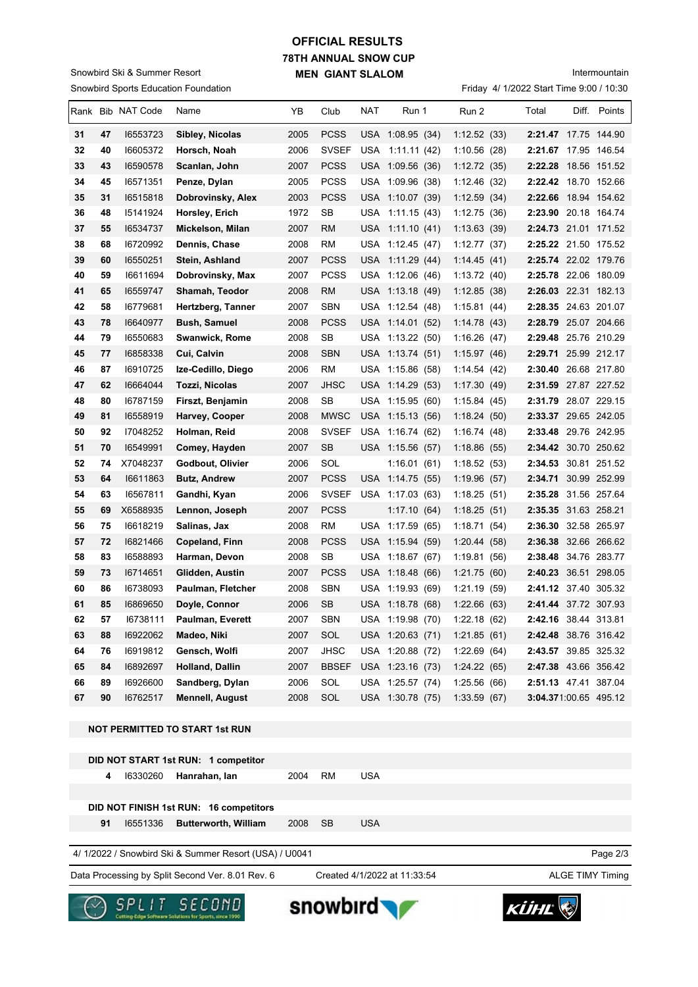### Snowbird Sports Education Foundation Snowbird Ski & Summer Resort

# **78TH ANNUAL SNOW CUP MEN GIANT SLALOM OFFICIAL RESULTS**

Friday 4/ 1/2022 Start Time 9:00 / 10:30 Intermountain

|    |    | Rank Bib NAT Code | Name                                  | YΒ   | Club         | NAT        | Run 1            | Run 2        | Total                 | Diff. Points |
|----|----|-------------------|---------------------------------------|------|--------------|------------|------------------|--------------|-----------------------|--------------|
| 31 | 47 | 16553723          | Sibley, Nicolas                       | 2005 | <b>PCSS</b>  |            | USA 1:08.95 (34) | 1:12.52(33)  | 2:21.47 17.75 144.90  |              |
| 32 | 40 | 16605372          | Horsch, Noah                          | 2006 | <b>SVSEF</b> | <b>USA</b> | 1:11.11(42)      | 1:10.56(28)  | 2:21.67 17.95 146.54  |              |
| 33 | 43 | 16590578          | Scanlan, John                         | 2007 | <b>PCSS</b>  | USA        | 1:09.56 (36)     | 1:12.72(35)  | 2:22.28               | 18.56 151.52 |
| 34 | 45 | 16571351          | Penze, Dylan                          | 2005 | <b>PCSS</b>  | USA        | 1:09.96(38)      | 1:12.46(32)  | 2:22.42               | 18.70 152.66 |
| 35 | 31 | 16515818          | Dobrovinsky, Alex                     | 2003 | <b>PCSS</b>  |            | USA 1:10.07 (39) | 1:12.59(34)  | 2:22.66               | 18.94 154.62 |
| 36 | 48 | 15141924          | Horsley, Erich                        | 1972 | SB           | USA        | 1:11.15(43)      | 1:12.75(36)  | 2:23.90 20.18 164.74  |              |
| 37 | 55 | 16534737          | Mickelson, Milan                      | 2007 | <b>RM</b>    | USA        | 1:11.10 (41)     | 1:13.63(39)  | 2:24.73 21.01 171.52  |              |
| 38 | 68 | 16720992          | Dennis, Chase                         | 2008 | RM           | USA        | 1:12.45(47)      | 1:12.77(37)  | 2:25.22 21.50 175.52  |              |
| 39 | 60 | 16550251          | Stein, Ashland                        | 2007 | <b>PCSS</b>  |            | USA 1:11.29 (44) | 1:14.45(41)  | 2:25.74 22.02 179.76  |              |
| 40 | 59 | 16611694          | Dobrovinsky, Max                      | 2007 | <b>PCSS</b>  |            | USA 1:12.06 (46) | 1:13.72(40)  | 2:25.78 22.06 180.09  |              |
| 41 | 65 | 16559747          | Shamah, Teodor                        | 2008 | RM           |            | USA 1:13.18 (49) | 1:12.85(38)  | 2:26.03 22.31 182.13  |              |
| 42 | 58 | 16779681          | Hertzberg, Tanner                     | 2007 | SBN          |            | USA 1:12.54 (48) | 1:15.81 (44) | 2:28.35 24.63 201.07  |              |
| 43 | 78 | 16640977          | <b>Bush, Samuel</b>                   | 2008 | PCSS         |            | USA 1:14.01 (52) | 1:14.78(43)  | 2:28.79 25.07 204.66  |              |
| 44 | 79 | 16550683          | Swanwick, Rome                        | 2008 | SB           |            | USA 1:13.22 (50) | 1:16.26(47)  | 2:29.48 25.76 210.29  |              |
| 45 | 77 | 16858338          | Cui, Calvin                           | 2008 | <b>SBN</b>   |            | USA 1:13.74 (51) | 1:15.97(46)  | 2:29.71 25.99 212.17  |              |
| 46 | 87 | 16910725          | Ize-Cedillo, Diego                    | 2006 | RM           | USA        | 1:15.86 (58)     | 1:14.54 (42) | 2:30.40 26.68 217.80  |              |
| 47 | 62 | 16664044          | Tozzi, Nicolas                        | 2007 | JHSC         | USA        | 1:14.29(53)      | 1:17.30(49)  | 2:31.59 27.87 227.52  |              |
| 48 | 80 | 16787159          | Firszt, Benjamin                      | 2008 | SB           | USA        | 1:15.95(60)      | 1:15.84(45)  | 2:31.79 28.07 229.15  |              |
| 49 | 81 | 16558919          | Harvey, Cooper                        | 2008 | <b>MWSC</b>  |            | USA 1:15.13 (56) | 1:18.24(50)  | 2:33.37 29.65 242.05  |              |
| 50 | 92 | 17048252          | Holman, Reid                          | 2008 | <b>SVSEF</b> | USA        | 1:16.74(62)      | 1:16.74 (48) | 2:33.48 29.76 242.95  |              |
| 51 | 70 | 16549991          | Comey, Hayden                         | 2007 | SВ           |            | USA 1:15.56 (57) | 1:18.86(55)  | 2:34.42 30.70 250.62  |              |
| 52 | 74 | X7048237          | Godbout, Olivier                      | 2006 | SOL          |            | 1:16.01(61)      | 1:18.52(53)  | 2:34.53 30.81 251.52  |              |
| 53 | 64 | 16611863          | <b>Butz, Andrew</b>                   | 2007 | PCSS         |            | USA 1:14.75 (55) | 1:19.96(57)  | 2:34.71 30.99 252.99  |              |
| 54 | 63 | 16567811          | Gandhi, Kyan                          | 2006 | <b>SVSEF</b> | USA        | 1:17.03(63)      | 1:18.25(51)  | 2:35.28 31.56 257.64  |              |
| 55 | 69 | X6588935          | Lennon, Joseph                        | 2007 | <b>PCSS</b>  |            | 1:17.10(64)      | 1:18.25(51)  | 2:35.35 31.63 258.21  |              |
| 56 | 75 | 16618219          | Salinas, Jax                          | 2008 | <b>RM</b>    | <b>USA</b> | 1:17.59(65)      | 1:18.71(54)  | 2:36.30               | 32.58 265.97 |
| 57 | 72 | 16821466          | Copeland, Finn                        | 2008 | <b>PCSS</b>  |            | USA 1:15.94 (59) | 1:20.44(58)  | 2:36.38 32.66 266.62  |              |
| 58 | 83 | 16588893          | Harman, Devon                         | 2008 | SB           | USA        | 1:18.67(67)      | 1:19.81(56)  | 2:38.48 34.76 283.77  |              |
| 59 | 73 | 16714651          | Glidden, Austin                       | 2007 | <b>PCSS</b>  |            | USA 1:18.48 (66) | 1:21.75(60)  | 2:40.23 36.51 298.05  |              |
| 60 | 86 | 16738093          | Paulman, Fletcher                     | 2008 | SBN          | USA        | 1:19.93(69)      | 1:21.19(59)  | 2:41.12 37.40 305.32  |              |
| 61 | 85 | 16869650          | Doyle, Connor                         | 2006 | SВ           | USA        | 1:18.78 (68)     | 1:22.66 (63) | 2:41.44 37.72 307.93  |              |
| 62 | 57 | 16738111          | Paulman, Everett                      | 2007 | SBN          |            | USA 1:19.98 (70) | 1:22.18(62)  | 2:42.16 38.44 313.81  |              |
| 63 | 88 | 16922062          | Madeo, Niki                           | 2007 | SOL          |            | USA 1:20.63 (71) | 1:21.85(61)  | 2:42.48 38.76 316.42  |              |
| 64 | 76 | 16919812          | Gensch, Wolfi                         | 2007 | <b>JHSC</b>  |            | USA 1:20.88 (72) | 1:22.69(64)  | 2:43.57 39.85 325.32  |              |
| 65 | 84 | 16892697          | Holland, Dallin                       | 2007 | <b>BBSEF</b> |            | USA 1:23.16 (73) | 1:24.22(65)  | 2:47.38 43.66 356.42  |              |
| 66 | 89 | 16926600          | Sandberg, Dylan                       | 2006 | SOL          |            | USA 1:25.57 (74) | 1:25.56(66)  | 2:51.13 47.41 387.04  |              |
| 67 | 90 | 16762517          | <b>Mennell, August</b>                | 2008 | SOL          |            | USA 1:30.78 (75) | 1:33.59(67)  | 3:04.371:00.65 495.12 |              |
|    |    |                   | <b>NOT PERMITTED TO START 1st RUN</b> |      |              |            |                  |              |                       |              |

**DID NOT START 1st RUN: 1 competitor 4** I6330260 **Hanrahan, Ian** 2004 RM USA **DID NOT FINISH 1st RUN: 16 competitors 91** I6551336 **Butterworth, William** 2008 SB USA Page 2/3 Data Processing by Split Second Ver. 8.01 Rev. 6 Created 4/1/2022 at 11:33:54 ALGE TIMY Timing 4/ 1/2022 / Snowbird Ski & Summer Resort (USA) / U0041

Created 4/1/2022 at 11:33:54